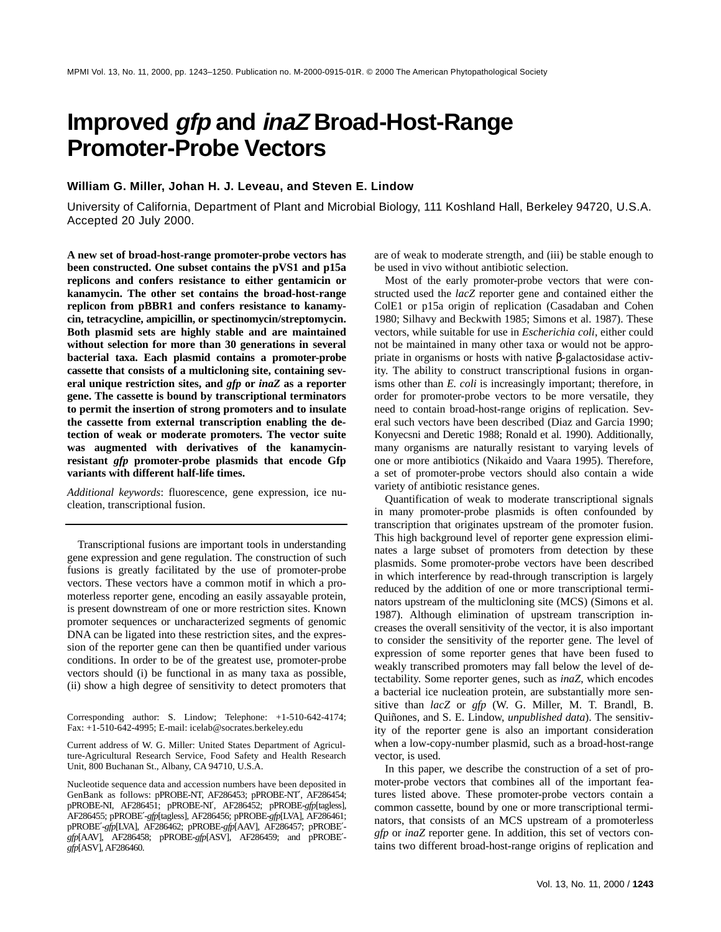# **Improved gfp and inaZ Broad-Host-Range Promoter-Probe Vectors**

# **William G. Miller, Johan H. J. Leveau, and Steven E. Lindow**

University of California, Department of Plant and Microbial Biology, 111 Koshland Hall, Berkeley 94720, U.S.A. Accepted 20 July 2000.

**A new set of broad-host-range promoter-probe vectors has been constructed. One subset contains the pVS1 and p15a replicons and confers resistance to either gentamicin or kanamycin. The other set contains the broad-host-range replicon from pBBR1 and confers resistance to kanamycin, tetracycline, ampicillin, or spectinomycin/streptomycin. Both plasmid sets are highly stable and are maintained without selection for more than 30 generations in several bacterial taxa. Each plasmid contains a promoter-probe cassette that consists of a multicloning site, containing several unique restriction sites, and** *gfp* **or** *inaZ* **as a reporter gene. The cassette is bound by transcriptional terminators to permit the insertion of strong promoters and to insulate the cassette from external transcription enabling the detection of weak or moderate promoters. The vector suite was augmented with derivatives of the kanamycinresistant** *gfp* **promoter-probe plasmids that encode Gfp variants with different half-life times.**

*Additional keywords*: fluorescence, gene expression, ice nucleation, transcriptional fusion.

Transcriptional fusions are important tools in understanding gene expression and gene regulation. The construction of such fusions is greatly facilitated by the use of promoter-probe vectors. These vectors have a common motif in which a promoterless reporter gene, encoding an easily assayable protein, is present downstream of one or more restriction sites. Known promoter sequences or uncharacterized segments of genomic DNA can be ligated into these restriction sites, and the expression of the reporter gene can then be quantified under various conditions. In order to be of the greatest use, promoter-probe vectors should (i) be functional in as many taxa as possible, (ii) show a high degree of sensitivity to detect promoters that

Corresponding author: S. Lindow; Telephone: +1-510-642-4174; Fax: +1-510-642-4995; E-mail: icelab@socrates.berkeley.edu

Current address of W. G. Miller: United States Department of Agriculture-Agricultural Research Service, Food Safety and Health Research Unit, 800 Buchanan St., Albany, CA 94710, U.S.A.

Nucleotide sequence data and accession numbers have been deposited in GenBank as follows: pPROBE-NT, AF286453; pPROBE-NT′, AF286454; pPROBE-NI, AF286451; pPROBE-NI′, AF286452; pPROBE-*gfp*[tagless], AF286455; pPROBE′-*gfp*[tagless], AF286456; pPROBE-*gfp*[LVA], AF286461; pPROBE′-*gfp*[LVA], AF286462; pPROBE-*gfp*[AAV], AF286457; pPROBE′ *gfp*[AAV], AF286458; pPROBE-*gfp*[ASV], AF286459; and pPROBE′ *gfp*[ASV], AF286460.

are of weak to moderate strength, and (iii) be stable enough to be used in vivo without antibiotic selection.

Most of the early promoter-probe vectors that were constructed used the *lacZ* reporter gene and contained either the ColE1 or p15a origin of replication (Casadaban and Cohen 1980; Silhavy and Beckwith 1985; Simons et al. 1987). These vectors, while suitable for use in *Escherichia coli*, either could not be maintained in many other taxa or would not be appropriate in organisms or hosts with native β-galactosidase activity. The ability to construct transcriptional fusions in organisms other than *E. coli* is increasingly important; therefore, in order for promoter-probe vectors to be more versatile, they need to contain broad-host-range origins of replication. Several such vectors have been described (Diaz and Garcia 1990; Konyecsni and Deretic 1988; Ronald et al. 1990). Additionally, many organisms are naturally resistant to varying levels of one or more antibiotics (Nikaido and Vaara 1995). Therefore, a set of promoter-probe vectors should also contain a wide variety of antibiotic resistance genes.

Quantification of weak to moderate transcriptional signals in many promoter-probe plasmids is often confounded by transcription that originates upstream of the promoter fusion. This high background level of reporter gene expression eliminates a large subset of promoters from detection by these plasmids. Some promoter-probe vectors have been described in which interference by read-through transcription is largely reduced by the addition of one or more transcriptional terminators upstream of the multicloning site (MCS) (Simons et al. 1987). Although elimination of upstream transcription increases the overall sensitivity of the vector, it is also important to consider the sensitivity of the reporter gene. The level of expression of some reporter genes that have been fused to weakly transcribed promoters may fall below the level of detectability. Some reporter genes, such as *inaZ*, which encodes a bacterial ice nucleation protein, are substantially more sensitive than *lacZ* or *gfp* (W. G. Miller, M. T. Brandl, B. Quiñones, and S. E. Lindow, *unpublished data*). The sensitivity of the reporter gene is also an important consideration when a low-copy-number plasmid, such as a broad-host-range vector, is used.

In this paper, we describe the construction of a set of promoter-probe vectors that combines all of the important features listed above. These promoter-probe vectors contain a common cassette, bound by one or more transcriptional terminators, that consists of an MCS upstream of a promoterless *gfp* or *inaZ* reporter gene. In addition, this set of vectors contains two different broad-host-range origins of replication and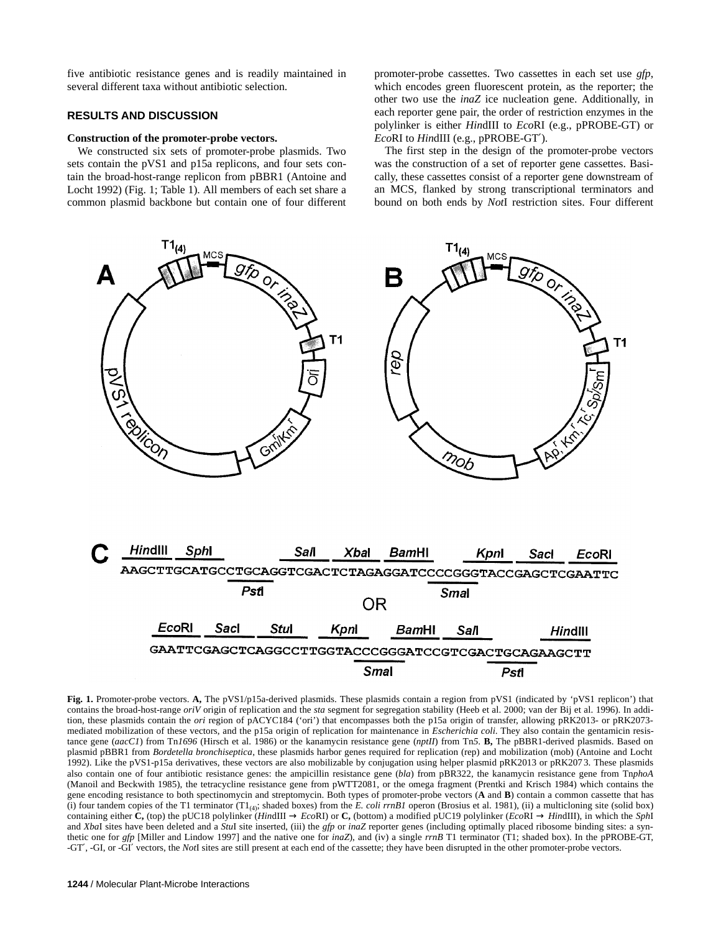five antibiotic resistance genes and is readily maintained in several different taxa without antibiotic selection.

# **RESULTS AND DISCUSSION**

#### **Construction of the promoter-probe vectors.**

We constructed six sets of promoter-probe plasmids. Two sets contain the pVS1 and p15a replicons, and four sets contain the broad-host-range replicon from pBBR1 (Antoine and Locht 1992) (Fig. 1; Table 1). All members of each set share a common plasmid backbone but contain one of four different promoter-probe cassettes. Two cassettes in each set use *gfp*, which encodes green fluorescent protein, as the reporter; the other two use the *inaZ* ice nucleation gene. Additionally, in each reporter gene pair, the order of restriction enzymes in the polylinker is either *Hin*dIII to *Eco*RI (e.g., pPROBE-GT) or *Eco*RI to *Hin*dIII (e.g., pPROBE-GT′).

The first step in the design of the promoter-probe vectors was the construction of a set of reporter gene cassettes. Basically, these cassettes consist of a reporter gene downstream of an MCS, flanked by strong transcriptional terminators and bound on both ends by *Not*I restriction sites. Four different



**Fig. 1.** Promoter-probe vectors. **A,** The pVS1/p15a-derived plasmids. These plasmids contain a region from pVS1 (indicated by 'pVS1 replicon') that contains the broad-host-range *oriV* origin of replication and the *sta* segment for segregation stability (Heeb et al. 2000; van der Bij et al. 1996). In addition, these plasmids contain the *ori* region of pACYC184 ('ori') that encompasses both the p15a origin of transfer, allowing pRK2013- or pRK2073 mediated mobilization of these vectors, and the p15a origin of replication for maintenance in *Escherichia coli*. They also contain the gentamicin resistance gene (*aacC1*) from Tn*1696* (Hirsch et al. 1986) or the kanamycin resistance gene (*nptII*) from Tn*5*. **B,** The pBBR1-derived plasmids. Based on plasmid pBBR1 from *Bordetella bronchiseptica*, these plasmids harbor genes required for replication (rep) and mobilization (mob) (Antoine and Locht 1992). Like the pVS1-p15a derivatives, these vectors are also mobilizable by conjugation using helper plasmid pRK2013 or pRK207 3. These plasmids also contain one of four antibiotic resistance genes: the ampicillin resistance gene (*bla*) from pBR322, the kanamycin resistance gene from Tn*phoA* (Manoil and Beckwith 1985), the tetracycline resistance gene from pWTT2081, or the omega fragment (Prentki and Krisch 1984) which contains the gene encoding resistance to both spectinomycin and streptomycin. Both types of promoter-probe vectors (**A** and **B**) contain a common cassette that has (i) four tandem copies of the T1 terminator  $(T1_{(4)}$ ; shaded boxes) from the E. coli  $rrnB1$  operon (Brosius et al. 1981), (ii) a multicloning site (solid box) containing either **C**, (top) the pUC18 polylinker (*HindIII*  $\rightarrow$  *EcoRI*) or **C**, (bottom) a modified pUC19 polylinker (*EcoRI*  $\rightarrow$  *HindIII*), in which the *SphI* and *Xba*I sites have been deleted and a *Stu*I site inserted, (iii) the *gfp* or *inaZ* reporter genes (including optimally placed ribosome binding sites: a synthetic one for *gfp* [Miller and Lindow 1997] and the native one for *inaZ*), and (iv) a single *rrnB* T1 terminator (T1; shaded box). In the pPROBE-GT, -GT′, -GI, or -GI′ vectors, the *Not*I sites are still present at each end of the cassette; they have been disrupted in the other promoter-probe vectors.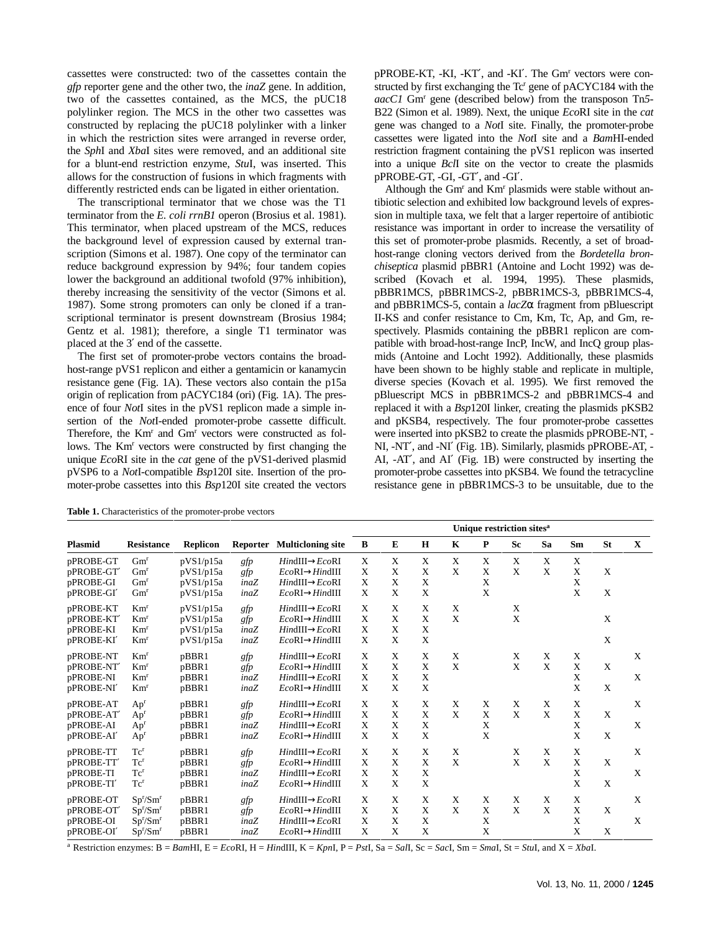cassettes were constructed: two of the cassettes contain the *gfp* reporter gene and the other two, the *inaZ* gene. In addition, two of the cassettes contained, as the MCS, the pUC18 polylinker region. The MCS in the other two cassettes was constructed by replacing the pUC18 polylinker with a linker in which the restriction sites were arranged in reverse order, the *Sph*I and *Xba*I sites were removed, and an additional site for a blunt-end restriction enzyme, *Stu*I, was inserted. This allows for the construction of fusions in which fragments with differently restricted ends can be ligated in either orientation.

The transcriptional terminator that we chose was the T1 terminator from the *E. coli rrnB1* operon (Brosius et al. 1981). This terminator, when placed upstream of the MCS, reduces the background level of expression caused by external transcription (Simons et al. 1987). One copy of the terminator can reduce background expression by 94%; four tandem copies lower the background an additional twofold (97% inhibition), thereby increasing the sensitivity of the vector (Simons et al. 1987). Some strong promoters can only be cloned if a transcriptional terminator is present downstream (Brosius 1984; Gentz et al. 1981); therefore, a single T1 terminator was placed at the 3′ end of the cassette.

The first set of promoter-probe vectors contains the broadhost-range pVS1 replicon and either a gentamicin or kanamycin resistance gene (Fig. 1A). These vectors also contain the p15a origin of replication from pACYC184 (ori) (Fig. 1A). The presence of four *Not*I sites in the pVS1 replicon made a simple insertion of the *Not*I-ended promoter-probe cassette difficult. Therefore, the Km<sup>r</sup> and Gm<sup>r</sup> vectors were constructed as follows. The Km<sup>r</sup> vectors were constructed by first changing the unique *Eco*RI site in the *cat* gene of the pVS1-derived plasmid pVSP6 to a *Not*I-compatible *Bsp*120I site. Insertion of the promoter-probe cassettes into this *Bsp*120I site created the vectors

pPROBE-KT, -KI, -KT', and -KI'. The Gm<sup>r</sup> vectors were constructed by first exchanging the Tc<sup>r</sup> gene of pACYC184 with the *aacC1* Gmr gene (described below) from the transposon Tn*5*- B22 (Simon et al. 1989). Next, the unique *Eco*RI site in the *cat* gene was changed to a *Not*I site. Finally, the promoter-probe cassettes were ligated into the *Not*I site and a *Bam*HI-ended restriction fragment containing the pVS1 replicon was inserted into a unique *Bcl*I site on the vector to create the plasmids pPROBE-GT, -GI, -GT′, and -GI′.

Although the Gm<sup>r</sup> and Km<sup>r</sup> plasmids were stable without antibiotic selection and exhibited low background levels of expression in multiple taxa, we felt that a larger repertoire of antibiotic resistance was important in order to increase the versatility of this set of promoter-probe plasmids. Recently, a set of broadhost-range cloning vectors derived from the *Bordetella bronchiseptica* plasmid pBBR1 (Antoine and Locht 1992) was described (Kovach et al. 1994, 1995). These plasmids, pBBR1MCS, pBBR1MCS-2, pBBR1MCS-3, pBBR1MCS-4, and pBBR1MCS-5, contain a *lacZ*α fragment from pBluescript II-KS and confer resistance to Cm, Km, Tc, Ap, and Gm, respectively. Plasmids containing the pBBR1 replicon are compatible with broad-host-range IncP, IncW, and IncQ group plasmids (Antoine and Locht 1992). Additionally, these plasmids have been shown to be highly stable and replicate in multiple, diverse species (Kovach et al. 1995). We first removed the pBluescript MCS in pBBR1MCS-2 and pBBR1MCS-4 and replaced it with a *Bsp*120I linker, creating the plasmids pKSB2 and pKSB4, respectively. The four promoter-probe cassettes were inserted into pKSB2 to create the plasmids pPROBE-NT, - NI, -NT′, and -NI′ (Fig. 1B). Similarly, plasmids pPROBE-AT, - AI, -AT′, and AI′ (Fig. 1B) were constructed by inserting the promoter-probe cassettes into pKSB4. We found the tetracycline resistance gene in pBBR1MCS-3 to be unsuitable, due to the

**Table 1.** Characteristics of the promoter-probe vectors

|                |                                  |                 |                 |                             | Unique restriction sites <sup>a</sup> |              |             |             |   |              |    |             |           |             |
|----------------|----------------------------------|-----------------|-----------------|-----------------------------|---------------------------------------|--------------|-------------|-------------|---|--------------|----|-------------|-----------|-------------|
| <b>Plasmid</b> | <b>Resistance</b>                | <b>Replicon</b> | <b>Reporter</b> | <b>Multicloning site</b>    | B                                     | E            | H           | $\mathbf K$ | P | <b>Sc</b>    | Sa | Sm          | <b>St</b> | $\mathbf X$ |
| pPROBE-GT      | Gm <sup>r</sup>                  | pVS1/p15a       | gfp             | $HindIII \rightarrow EcoRI$ | X                                     | X            | X           | X           | X | X            | X  | X           |           |             |
| pPROBE-GT      | Gm <sup>r</sup>                  | pVS1/p15a       | gfp             | $EcoRI \rightarrow HindIII$ | X                                     | X            | X           | X           | X | X            | X  | X           | X         |             |
| pPROBE-GI      | Gm <sup>r</sup>                  | pVS1/p15a       | inaZ            | $HindIII \rightarrow EcoRI$ | X                                     | X            | X           |             | X |              |    | X           |           |             |
| pPROBE-GI'     | Gm <sup>r</sup>                  | pVS1/p15a       | inaZ            | $EcoRI \rightarrow HindIII$ | X                                     | X            | X           |             | X |              |    | X           | X         |             |
| pPROBE-KT      | Km <sup>r</sup>                  | pVS1/p15a       | gfp             | $HindIII \rightarrow EcoRI$ | X                                     | X            | X           | X           |   | X            |    |             |           |             |
| pPROBE-KT      | Km <sup>r</sup>                  | pVS1/p15a       | gfp             | $EcoRI \rightarrow HindIII$ | X                                     | X            | X           | X           |   | X            |    |             | X         |             |
| pPROBE-KI      | Km <sup>r</sup>                  | pVS1/p15a       | inaZ            | $HindIII \rightarrow EcoRI$ | X                                     | $\mathbf{X}$ | $\mathbf x$ |             |   |              |    |             |           |             |
| pPROBE-KI'     | Km <sup>r</sup>                  | pVS1/p15a       | inaZ            | $EcoRI \rightarrow HindIII$ | X                                     | X            | X           |             |   |              |    |             | X         |             |
| pPROBE-NT      | Km <sup>r</sup>                  | pBBR1           | gfp             | $HindIII \rightarrow EcoRI$ | X                                     | X            | X           | X           |   | X            | X  | X           |           | X           |
| pPROBE-NT      | Km <sup>r</sup>                  | pBBR1           | gfp             | $EcoRI \rightarrow HindIII$ | X                                     | X            | X           | X           |   | X            | X  | X           | X         |             |
| pPROBE-NI      | Km <sup>r</sup>                  | pBBR1           | inaZ            | $HindIII \rightarrow EcoRI$ | X                                     | X            | X           |             |   |              |    | X           |           | X           |
| pPROBE-NI'     | Km <sup>r</sup>                  | pBBR1           | inaZ            | $EcoRI \rightarrow HindIII$ | X                                     | X            | X           |             |   |              |    | X           | X         |             |
| pPROBE-AT      | Ap <sup>r</sup>                  | pBBR1           | gfp             | $HindIII \rightarrow EcoRI$ | X                                     | X            | X           | X           | X | X            | X  | X           |           | X           |
| pPROBE-AT'     | Ap <sup>r</sup>                  | pBBR1           | gfp             | $EcoRI \rightarrow HindIII$ | X                                     | X            | X           | X           | X | X            | X  | X           | X         |             |
| pPROBE-AI      | Ap <sup>r</sup>                  | pBBR1           | inaZ            | $HindIII \rightarrow EcoRI$ | X                                     | X            | X           |             | X |              |    | X           |           | X           |
| pPROBE-AI'     | Ap <sup>r</sup>                  | pBBR1           | inaZ            | $EcoRI \rightarrow HindIII$ | X                                     | X            | X           |             | X |              |    | X           | X         |             |
| pPROBE-TT      | Tc <sup>r</sup>                  | pBBR1           | gfp             | $HindIII \rightarrow EcoRI$ | X                                     | X            | X           | X           |   | X            | X  | X           |           | X           |
| pPROBE-TT'     | Tc <sup>r</sup>                  | pBBR1           | gfp             | $EcoRI \rightarrow HindIII$ | X                                     | $\mathbf{X}$ | X           | X           |   | $\mathbf{x}$ | X  | X           | X         |             |
| pPROBE-TI      | Tc <sup>r</sup>                  | pBBR1           | inaZ            | $HindIII \rightarrow EcoRI$ | X                                     | X            | X           |             |   |              |    | X           |           | X           |
| pPROBE-TI'     | Tc <sup>r</sup>                  | pBBR1           | inaZ            | $EcoRI \rightarrow HindIII$ | X                                     | $\mathbf{X}$ | X           |             |   |              |    | X           | X         |             |
| pPROBE-OT      | Sp <sup>r</sup> /Sm <sup>r</sup> | pBBR1           | gfp             | $HindIII \rightarrow EcoRI$ | X                                     | X            | X           | X           | X | X            | X  | X           |           | X           |
| pPROBE-OT      | Sp <sup>r</sup> /Sm <sup>r</sup> | pBBR1           | gfp             | $EcoRI \rightarrow HindIII$ | X                                     | X            | X           | X           | X | X            | X  | $\mathbf X$ | X         |             |
| pPROBE-OI      | Sp <sup>r</sup> /Sm <sup>r</sup> | pBBR1           | inaZ            | $HindIII \rightarrow EcoRI$ | X                                     | X            | X           |             | X |              |    | X           |           | X           |
| pPROBE-OI'     | Sp <sup>r</sup> /Sm <sup>r</sup> | pBBR1           | inaZ            | $EcoRI \rightarrow HindIII$ | X                                     | X            | X           |             | X |              |    | X           | X         |             |

 $^a$  Restriction enzymes:  $B = BamHH$ ,  $E = EcoRI$ ,  $H = HinduIII$ ,  $K = KpnI$ ,  $P = PsI$ ,  $Sa = Sal$ ,  $Sc = SacI$ ,  $Sm = Small$ ,  $St = StuI$ , and  $X = Xbal$ .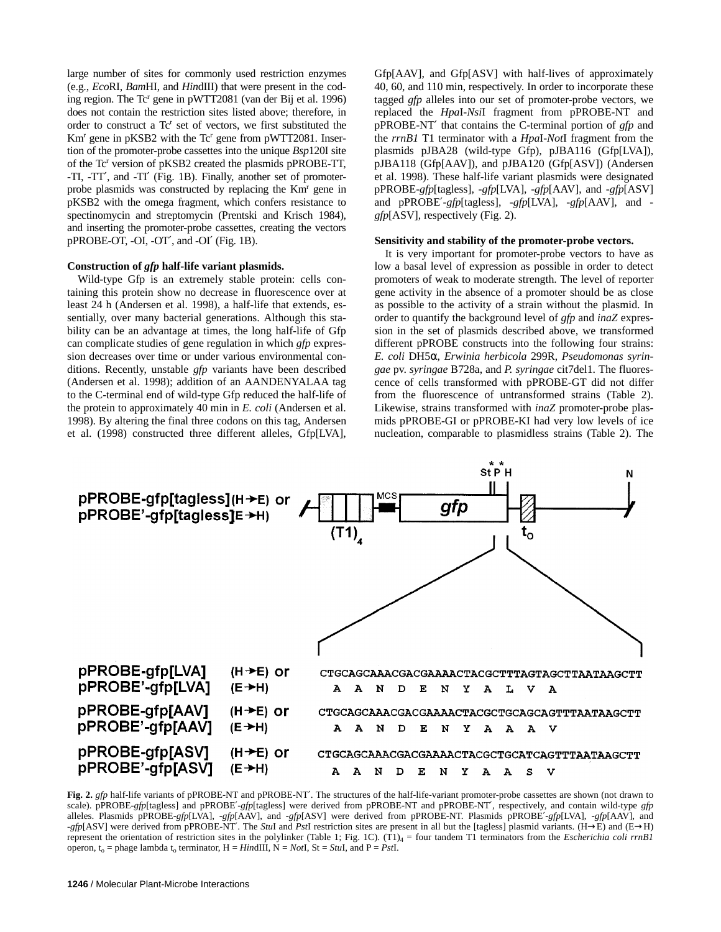large number of sites for commonly used restriction enzymes (e.g., *Eco*RI, *Bam*HI, and *Hin*dIII) that were present in the coding region. The Tc<sup>r</sup> gene in pWTT2081 (van der Bij et al. 1996) does not contain the restriction sites listed above; therefore, in order to construct a Tc<sup>r</sup> set of vectors, we first substituted the Km<sup>r</sup> gene in pKSB2 with the Tc<sup>r</sup> gene from pWTT2081. Insertion of the promoter-probe cassettes into the unique *Bsp*120I site of the Tc<sup>r</sup> version of pKSB2 created the plasmids pPROBE-TT, -TI, -TT′, and -TI′ (Fig. 1B). Finally, another set of promoterprobe plasmids was constructed by replacing the Km<sup>r</sup> gene in pKSB2 with the omega fragment, which confers resistance to spectinomycin and streptomycin (Prentski and Krisch 1984), and inserting the promoter-probe cassettes, creating the vectors pPROBE-OT, -OI, -OT′, and -OI′ (Fig. 1B).

#### **Construction of** *gfp* **half-life variant plasmids.**

Wild-type Gfp is an extremely stable protein: cells containing this protein show no decrease in fluorescence over at least 24 h (Andersen et al. 1998), a half-life that extends, essentially, over many bacterial generations. Although this stability can be an advantage at times, the long half-life of Gfp can complicate studies of gene regulation in which *gfp* expression decreases over time or under various environmental conditions. Recently, unstable *gfp* variants have been described (Andersen et al. 1998); addition of an AANDENYALAA tag to the C-terminal end of wild-type Gfp reduced the half-life of the protein to approximately 40 min in *E. coli* (Andersen et al. 1998). By altering the final three codons on this tag, Andersen et al. (1998) constructed three different alleles, Gfp[LVA],

Gfp[AAV], and Gfp[ASV] with half-lives of approximately 40, 60, and 110 min, respectively. In order to incorporate these tagged *gfp* alleles into our set of promoter-probe vectors, we replaced the *Hpa*I-*Nsi*I fragment from pPROBE-NT and pPROBE-NT′ that contains the C-terminal portion of *gfp* and the *rrnB1* T1 terminator with a *Hpa*I-*Not*I fragment from the plasmids pJBA28 (wild-type Gfp), pJBA116 (Gfp[LVA]), pJBA118 (Gfp[AAV]), and pJBA120 (Gfp[ASV]) (Andersen et al. 1998). These half-life variant plasmids were designated pPROBE-*gfp*[tagless], -*gfp*[LVA], -*gfp*[AAV], and -*gfp*[ASV] and pPROBE′-*gfp*[tagless], -*gfp*[LVA], -*gfp*[AAV], and *gfp*[ASV], respectively (Fig. 2).

#### **Sensitivity and stability of the promoter-probe vectors.**

It is very important for promoter-probe vectors to have as low a basal level of expression as possible in order to detect promoters of weak to moderate strength. The level of reporter gene activity in the absence of a promoter should be as close as possible to the activity of a strain without the plasmid. In order to quantify the background level of *gfp* and *inaZ* expression in the set of plasmids described above, we transformed different pPROBE constructs into the following four strains: *E. coli* DH5α, *Erwinia herbicola* 299R, *Pseudomonas syringae* pv. *syringae* B728a, and *P. syringae* cit7del1. The fluorescence of cells transformed with pPROBE-GT did not differ from the fluorescence of untransformed strains (Table 2). Likewise, strains transformed with *inaZ* promoter-probe plasmids pPROBE-GI or pPROBE-KI had very low levels of ice nucleation, comparable to plasmidless strains (Table 2). The



Fig. 2. *gfp* half-life variants of pPROBE-NT and pPROBE-NT'. The structures of the half-life-variant promoter-probe cassettes are shown (not drawn to scale). pPROBE-*gfp*[tagless] and pPROBE′-*gfp*[tagless] were derived from pPROBE-NT and pPROBE-NT′, respectively, and contain wild-type *gfp* alleles. Plasmids pPROBE-*gfp*[LVA], -*gfp*[AAV], and -*gfp*[ASV] were derived from pPROBE-NT. Plasmids pPROBE′-*gfp*[LVA], -*gfp*[AAV], and -*gfp*[ASV] were derived from pPROBE-NT′. The *Stu*I and *Pst*I restriction sites are present in all but the [tagless] plasmid variants. (H→E) and (E→H) represent the orientation of restriction sites in the polylinker (Table 1; Fig. 1C). (T1)<sub>4</sub> = four tandem T1 terminators from the *Escherichia coli rrnB1* operon,  $t_0$  = phage lambda  $t_0$  terminator,  $H = HinduIII$ ,  $N = NotI$ ,  $St = StuI$ , and  $P = PstI$ .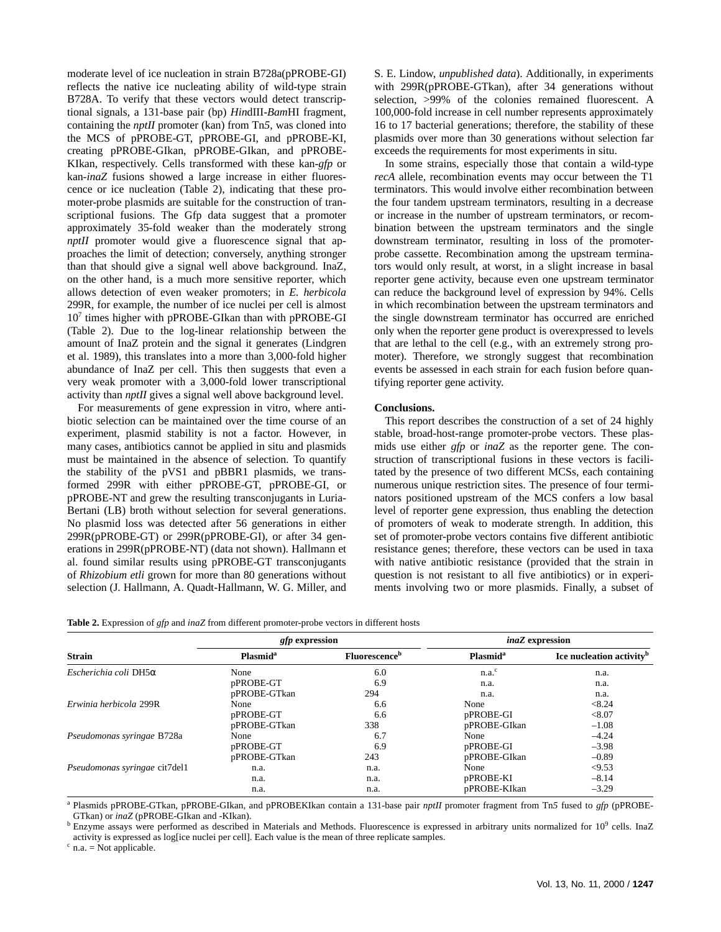moderate level of ice nucleation in strain B728a(pPROBE-GI) reflects the native ice nucleating ability of wild-type strain B728A. To verify that these vectors would detect transcriptional signals, a 131-base pair (bp) *Hin*dIII-*Bam*HI fragment, containing the *nptII* promoter (kan) from Tn*5*, was cloned into the MCS of pPROBE-GT, pPROBE-GI, and pPROBE-KI, creating pPROBE-GIkan, pPROBE-GIkan, and pPROBE-KIkan, respectively. Cells transformed with these kan-*gfp* or kan-*inaZ* fusions showed a large increase in either fluorescence or ice nucleation (Table 2), indicating that these promoter-probe plasmids are suitable for the construction of transcriptional fusions. The Gfp data suggest that a promoter approximately 35-fold weaker than the moderately strong *nptII* promoter would give a fluorescence signal that approaches the limit of detection; conversely, anything stronger than that should give a signal well above background. InaZ, on the other hand, is a much more sensitive reporter, which allows detection of even weaker promoters; in *E. herbicola* 299R, for example, the number of ice nuclei per cell is almost 10<sup>7</sup> times higher with pPROBE-GIkan than with pPROBE-GI (Table 2). Due to the log-linear relationship between the amount of InaZ protein and the signal it generates (Lindgren et al. 1989), this translates into a more than 3,000-fold higher abundance of InaZ per cell. This then suggests that even a very weak promoter with a 3,000-fold lower transcriptional activity than *nptII* gives a signal well above background level.

For measurements of gene expression in vitro, where antibiotic selection can be maintained over the time course of an experiment, plasmid stability is not a factor. However, in many cases, antibiotics cannot be applied in situ and plasmids must be maintained in the absence of selection. To quantify the stability of the pVS1 and pBBR1 plasmids, we transformed 299R with either pPROBE-GT, pPROBE-GI, or pPROBE-NT and grew the resulting transconjugants in Luria-Bertani (LB) broth without selection for several generations. No plasmid loss was detected after 56 generations in either 299R(pPROBE-GT) or 299R(pPROBE-GI), or after 34 generations in 299R(pPROBE-NT) (data not shown). Hallmann et al. found similar results using pPROBE-GT transconjugants of *Rhizobium etli* grown for more than 80 generations without selection (J. Hallmann, A. Quadt-Hallmann, W. G. Miller, and

S. E. Lindow, *unpublished data*). Additionally, in experiments with 299R(pPROBE-GTkan), after 34 generations without selection, >99% of the colonies remained fluorescent. A 100,000-fold increase in cell number represents approximately 16 to 17 bacterial generations; therefore, the stability of these plasmids over more than 30 generations without selection far exceeds the requirements for most experiments in situ.

In some strains, especially those that contain a wild-type *recA* allele, recombination events may occur between the T1 terminators. This would involve either recombination between the four tandem upstream terminators, resulting in a decrease or increase in the number of upstream terminators, or recombination between the upstream terminators and the single downstream terminator, resulting in loss of the promoterprobe cassette. Recombination among the upstream terminators would only result, at worst, in a slight increase in basal reporter gene activity, because even one upstream terminator can reduce the background level of expression by 94%. Cells in which recombination between the upstream terminators and the single downstream terminator has occurred are enriched only when the reporter gene product is overexpressed to levels that are lethal to the cell (e.g., with an extremely strong promoter). Therefore, we strongly suggest that recombination events be assessed in each strain for each fusion before quantifying reporter gene activity.

#### **Conclusions.**

This report describes the construction of a set of 24 highly stable, broad-host-range promoter-probe vectors. These plasmids use either *gfp* or *inaZ* as the reporter gene. The construction of transcriptional fusions in these vectors is facilitated by the presence of two different MCSs, each containing numerous unique restriction sites. The presence of four terminators positioned upstream of the MCS confers a low basal level of reporter gene expression, thus enabling the detection of promoters of weak to moderate strength. In addition, this set of promoter-probe vectors contains five different antibiotic resistance genes; therefore, these vectors can be used in taxa with native antibiotic resistance (provided that the strain in question is not resistant to all five antibiotics) or in experiments involving two or more plasmids. Finally, a subset of

| <b>Table 2.</b> Expression of $gfp$ and $inaZ$ from different promoter-probe vectors in different hosts |
|---------------------------------------------------------------------------------------------------------|
|---------------------------------------------------------------------------------------------------------|

|                                 | <i>gfp</i> expression      |                                  | <i>inaZ</i> expression      |                                      |  |  |
|---------------------------------|----------------------------|----------------------------------|-----------------------------|--------------------------------------|--|--|
| <b>Strain</b>                   | <b>Plasmid<sup>a</sup></b> | <b>Fluorescence</b> <sup>b</sup> | <b>Plasmid</b> <sup>a</sup> | Ice nucleation activity <sup>b</sup> |  |  |
| $Escherichia coli$ DH5 $\alpha$ | None                       | 6.0                              | n.a. <sup>c</sup>           | n.a.                                 |  |  |
|                                 | pPROBE-GT                  | 6.9                              | n.a.                        | n.a.                                 |  |  |
|                                 | pPROBE-GTkan               | 294                              | n.a.                        | n.a.                                 |  |  |
| Erwinia herbicola 299R          | None                       | 6.6                              | None                        | < 8.24                               |  |  |
|                                 | pPROBE-GT                  | 6.6                              | pPROBE-GI                   | < 8.07                               |  |  |
|                                 | pPROBE-GTkan               | 338                              | pPROBE-GIkan                | $-1.08$                              |  |  |
| Pseudomonas syringae B728a      | None                       | 6.7                              | None                        | $-4.24$                              |  |  |
|                                 | pPROBE-GT                  | 6.9                              | pPROBE-GI                   | $-3.98$                              |  |  |
|                                 | pPROBE-GTkan               | 243                              | pPROBE-GIkan                | $-0.89$                              |  |  |
| Pseudomonas syringae cit7del1   | n.a.                       | n.a.                             | None                        | < 9.53                               |  |  |
|                                 | n.a.                       | n.a.                             | pPROBE-KI                   | $-8.14$                              |  |  |
|                                 | n.a.                       | n.a.                             | pPROBE-KIkan                | $-3.29$                              |  |  |

<sup>a</sup> Plasmids pPROBE-GTkan, pPROBE-GIkan, and pPROBEKIkan contain a 131-base pair *nptII* promoter fragment from Tn*5* fused to *gfp* (pPROBE-

GTkan) or *inaZ* (pPROBE-GIkan and -KIkan).<br><sup>b</sup> Enzyme assays were performed as described in Materials and Methods. Fluorescence is expressed in arbitrary units normalized for 10<sup>9</sup> cells. InaZ activity is expressed as log[ice nuclei per cell]. Each value is the mean of three replicate samples.

 $c$  n.a. = Not applicable.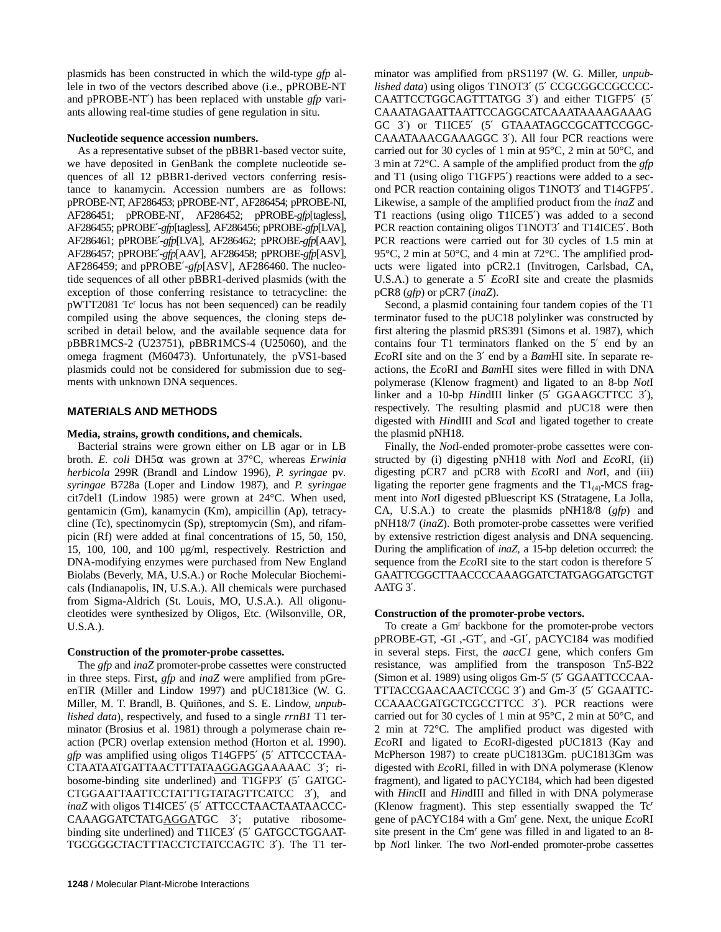plasmids has been constructed in which the wild-type *gfp* allele in two of the vectors described above (i.e., pPROBE-NT and pPROBE-NT′) has been replaced with unstable *gfp* variants allowing real-time studies of gene regulation in situ.

## **Nucleotide sequence accession numbers.**

As a representative subset of the pBBR1-based vector suite, we have deposited in GenBank the complete nucleotide sequences of all 12 pBBR1-derived vectors conferring resistance to kanamycin. Accession numbers are as follows: pPROBE-NT, AF286453; pPROBE-NT′, AF286454; pPROBE-NI, AF286451; pPROBE-NI′, AF286452; pPROBE-*gfp*[tagless], AF286455; pPROBE′-*gfp*[tagless], AF286456; pPROBE-*gfp*[LVA], AF286461; pPROBE′-*gfp*[LVA], AF286462; pPROBE-*gfp*[AAV], AF286457; pPROBE′-*gfp*[AAV], AF286458; pPROBE-*gfp*[ASV], AF286459; and pPROBE′-*gfp*[ASV], AF286460. The nucleotide sequences of all other pBBR1-derived plasmids (with the exception of those conferring resistance to tetracycline: the pWTT2081 Tc<sup>r</sup> locus has not been sequenced) can be readily compiled using the above sequences, the cloning steps described in detail below, and the available sequence data for pBBR1MCS-2 (U23751), pBBR1MCS-4 (U25060), and the omega fragment (M60473). Unfortunately, the pVS1-based plasmids could not be considered for submission due to segments with unknown DNA sequences.

# **MATERIALS AND METHODS**

## **Media, strains, growth conditions, and chemicals.**

Bacterial strains were grown either on LB agar or in LB broth. *E. coli* DH5α was grown at 37°C, whereas *Erwinia herbicola* 299R (Brandl and Lindow 1996), *P. syringae* pv*. syringae* B728a (Loper and Lindow 1987), and *P. syringae* cit7del1 (Lindow 1985) were grown at 24°C. When used, gentamicin (Gm), kanamycin (Km), ampicillin (Ap), tetracycline (Tc), spectinomycin (Sp), streptomycin (Sm), and rifampicin (Rf) were added at final concentrations of 15, 50, 150, 15, 100, 100, and 100 µg/ml, respectively. Restriction and DNA-modifying enzymes were purchased from New England Biolabs (Beverly, MA, U.S.A.) or Roche Molecular Biochemicals (Indianapolis, IN, U.S.A.). All chemicals were purchased from Sigma-Aldrich (St. Louis, MO, U.S.A.). All oligonucleotides were synthesized by Oligos, Etc. (Wilsonville, OR, U.S.A.).

# **Construction of the promoter-probe cassettes.**

The *gfp* and *inaZ* promoter-probe cassettes were constructed in three steps. First, *gfp* and *inaZ* were amplified from pGreenTIR (Miller and Lindow 1997) and pUC1813ice (W. G. Miller, M. T. Brandl, B. Quiñones, and S. E. Lindow, *unpublished data*), respectively, and fused to a single *rrnB1* T1 terminator (Brosius et al. 1981) through a polymerase chain reaction (PCR) overlap extension method (Horton et al. 1990). *gfp* was amplified using oligos T14GFP5′ (5′ ATTCCCTAA-CTAATAATGATTAACTTTATAAGGAGGAAAAAC 3′; ribosome-binding site underlined) and T1GFP3′ (5′ GATGC-CTGGAATTAATTCCTATTTGTATAGTTCATCC 3′), and *inaZ* with oligos T14ICE5′ (5′ ATTCCCTAACTAATAACCC-CAAAGGATCTATGAGGATGC 3′; putative ribosomebinding site underlined) and T1ICE3′ (5′ GATGCCTGGAAT-TGCGGGCTACTTTACCTCTATCCAGTC 3′). The T1 ter-

minator was amplified from pRS1197 (W. G. Miller, *unpublished data*) using oligos T1NOT3' (5' CCGCGGCCGCCCC-CAATTCCTGGCAGTTTATGG 3′) and either T1GFP5′ (5′ CAAATAGAATTAATTCCAGGCATCAAATAAAAGAAAG GC 3′) or T1ICE5′ (5′ GTAAATAGCCGCATTCCGGC-CAAATAAACGAAAGGC 3′). All four PCR reactions were carried out for 30 cycles of 1 min at 95°C, 2 min at 50°C, and 3 min at 72°C. A sample of the amplified product from the *gfp* and T1 (using oligo T1GFP5′) reactions were added to a second PCR reaction containing oligos T1NOT3′ and T14GFP5′. Likewise, a sample of the amplified product from the *inaZ* and T1 reactions (using oligo T1ICE5′) was added to a second PCR reaction containing oligos T1NOT3′ and T14ICE5′. Both PCR reactions were carried out for 30 cycles of 1.5 min at 95°C, 2 min at 50°C, and 4 min at 72°C. The amplified products were ligated into pCR2.1 (Invitrogen, Carlsbad, CA, U.S.A.) to generate a 5′ *Eco*RI site and create the plasmids pCR8 (*gfp*) or pCR7 (*inaZ*).

Second, a plasmid containing four tandem copies of the T1 terminator fused to the pUC18 polylinker was constructed by first altering the plasmid pRS391 (Simons et al. 1987), which contains four T1 terminators flanked on the 5′ end by an *Eco*RI site and on the 3′ end by a *Bam*HI site. In separate reactions, the *Eco*RI and *Bam*HI sites were filled in with DNA polymerase (Klenow fragment) and ligated to an 8-bp *Not*I linker and a 10-bp *HindIII* linker (5' GGAAGCTTCC 3'), respectively. The resulting plasmid and pUC18 were then digested with *Hin*dIII and *Sca*I and ligated together to create the plasmid pNH18.

Finally, the *Not*I-ended promoter-probe cassettes were constructed by (i) digesting pNH18 with *Not*I and *Eco*RI, (ii) digesting pCR7 and pCR8 with *Eco*RI and *Not*I, and (iii) ligating the reporter gene fragments and the  $T1_{(4)}$ -MCS fragment into *Not*I digested pBluescript KS (Stratagene, La Jolla, CA, U.S.A.) to create the plasmids pNH18/8 (*gfp*) and pNH18/7 (*inaZ*). Both promoter-probe cassettes were verified by extensive restriction digest analysis and DNA sequencing. During the amplification of *inaZ,* a 15-bp deletion occurred: the sequence from the *Eco*RI site to the start codon is therefore 5′ GAATTCGGCTTAACCCCAAAGGATCTATGAGGATGCTGT AATG 3′.

## **Construction of the promoter-probe vectors.**

To create a Gm<sup>r</sup> backbone for the promoter-probe vectors pPROBE-GT, -GI ,-GT′, and -GI′, pACYC184 was modified in several steps. First, the *aacC1* gene, which confers Gm resistance, was amplified from the transposon Tn*5*-B22 (Simon et al. 1989) using oligos Gm-5′ (5′ GGAATTCCCAA-TTTACCGAACAACTCCGC 3′) and Gm-3′ (5′ GGAATTC-CCAAACGATGCTCGCCTTCC 3′). PCR reactions were carried out for 30 cycles of 1 min at 95°C, 2 min at 50°C, and 2 min at 72°C. The amplified product was digested with *Eco*RI and ligated to *Eco*RI-digested pUC1813 (Kay and McPherson 1987) to create pUC1813Gm. pUC1813Gm was digested with *Eco*RI, filled in with DNA polymerase (Klenow fragment), and ligated to pACYC184, which had been digested with *Hin*cII and *Hin*dIII and filled in with DNA polymerase (Klenow fragment). This step essentially swapped the Tcr gene of pACYC184 with a Gmr gene. Next, the unique *Eco*RI site present in the Cm<sup>r</sup> gene was filled in and ligated to an 8bp *Not*I linker. The two *Not*I-ended promoter-probe cassettes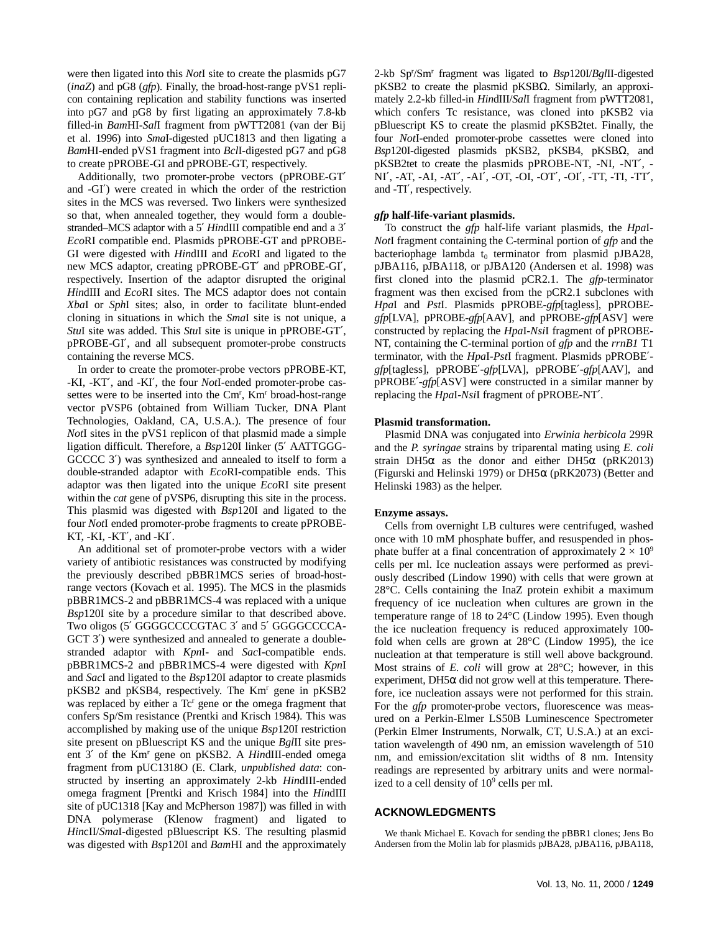were then ligated into this *Not*I site to create the plasmids pG7 (*inaZ*) and pG8 (*gfp*). Finally, the broad-host-range pVS1 replicon containing replication and stability functions was inserted into pG7 and pG8 by first ligating an approximately 7.8-kb filled-in *Bam*HI-*Sal*I fragment from pWTT2081 (van der Bij et al. 1996) into *Sma*I-digested pUC1813 and then ligating a *Bam*HI-ended pVS1 fragment into *Bcl*I-digested pG7 and pG8 to create pPROBE-GI and pPROBE-GT, respectively.

Additionally, two promoter-probe vectors (pPROBE-GT′ and -GI′) were created in which the order of the restriction sites in the MCS was reversed. Two linkers were synthesized so that, when annealed together, they would form a doublestranded–MCS adaptor with a 5′ *Hin*dIII compatible end and a 3′ *Eco*RI compatible end. Plasmids pPROBE-GT and pPROBE-GI were digested with *Hin*dIII and *Eco*RI and ligated to the new MCS adaptor, creating pPROBE-GT′ and pPROBE-GI′, respectively. Insertion of the adaptor disrupted the original *Hin*dIII and *Eco*RI sites. The MCS adaptor does not contain *Xba*I or *Sph*I sites; also, in order to facilitate blunt-ended cloning in situations in which the *Sma*I site is not unique, a *Stu*I site was added. This *Stu*I site is unique in pPROBE-GT′, pPROBE-GI′, and all subsequent promoter-probe constructs containing the reverse MCS.

In order to create the promoter-probe vectors pPROBE-KT, -KI, -KT′, and -KI′, the four *Not*I-ended promoter-probe cassettes were to be inserted into the Cm<sup>r</sup>, Km<sup>r</sup> broad-host-range vector pVSP6 (obtained from William Tucker, DNA Plant Technologies, Oakland, CA, U.S.A.). The presence of four *Not*I sites in the pVS1 replicon of that plasmid made a simple ligation difficult. Therefore, a *Bsp*120I linker (5′ AATTGGG-GCCCC 3′) was synthesized and annealed to itself to form a double-stranded adaptor with *Eco*RI-compatible ends. This adaptor was then ligated into the unique *Eco*RI site present within the *cat* gene of pVSP6, disrupting this site in the process. This plasmid was digested with *Bsp*120I and ligated to the four *Not*I ended promoter-probe fragments to create pPROBE-KT, -KI, -KT′, and -KI′.

An additional set of promoter-probe vectors with a wider variety of antibiotic resistances was constructed by modifying the previously described pBBR1MCS series of broad-hostrange vectors (Kovach et al. 1995). The MCS in the plasmids pBBR1MCS-2 and pBBR1MCS-4 was replaced with a unique *Bsp*120I site by a procedure similar to that described above. Two oligos (5′ GGGGCCCCGTAC 3′ and 5′ GGGGCCCCA-GCT 3<sup>'</sup>) were synthesized and annealed to generate a doublestranded adaptor with *Kpn*I- and *Sac*I-compatible ends. pBBR1MCS-2 and pBBR1MCS-4 were digested with *Kpn*I and *Sac*I and ligated to the *Bsp*120I adaptor to create plasmids pKSB2 and pKSB4, respectively. The Km<sup>r</sup> gene in pKSB2 was replaced by either a Tc<sup>r</sup> gene or the omega fragment that confers Sp/Sm resistance (Prentki and Krisch 1984). This was accomplished by making use of the unique *Bsp*120I restriction site present on pBluescript KS and the unique *Bgl*II site present 3' of the Km<sup>r</sup> gene on pKSB2. A *HindIII*-ended omega fragment from pUC1318O (E. Clark, *unpublished data*: constructed by inserting an approximately 2-kb *Hin*dIII-ended omega fragment [Prentki and Krisch 1984] into the *Hin*dIII site of pUC1318 [Kay and McPherson 1987]) was filled in with DNA polymerase (Klenow fragment) and ligated to *Hin*cII/*Sma*I-digested pBluescript KS. The resulting plasmid was digested with *Bsp*120I and *Bam*HI and the approximately

2-kb Spr /Smr fragment was ligated to *Bsp*120I/*Bgl*II-digested pKSB2 to create the plasmid pKSBΩ. Similarly, an approximately 2.2-kb filled-in *Hin*dIII/*Sal*I fragment from pWTT2081, which confers Tc resistance, was cloned into pKSB2 via pBluescript KS to create the plasmid pKSB2tet. Finally, the four *Not*I-ended promoter-probe cassettes were cloned into *Bsp*120I-digested plasmids pKSB2, pKSB4, pKSBΩ, and pKSB2tet to create the plasmids pPROBE-NT, -NI, -NT′, - NI′, -AT, -AI, -AT′, -AI′, -OT, -OI, -OT′, -OI′, -TT, -TI, -TT′, and -TI′, respectively.

## *gfp* **half-life-variant plasmids.**

To construct the *gfp* half-life variant plasmids, the *Hpa*I-*Not*I fragment containing the C-terminal portion of *gfp* and the bacteriophage lambda  $t_0$  terminator from plasmid pJBA28, pJBA116, pJBA118, or pJBA120 (Andersen et al. 1998) was first cloned into the plasmid pCR2.1. The *gfp*-terminator fragment was then excised from the pCR2.1 subclones with *Hpa*I and *Pst*I. Plasmids pPROBE-*gfp*[tagless], pPROBE*gfp*[LVA], pPROBE-*gfp*[AAV], and pPROBE-*gfp*[ASV] were constructed by replacing the *Hpa*I-*Nsi*I fragment of pPROBE-NT, containing the C-terminal portion of *gfp* and the *rrnB1* T1 terminator, with the *Hpa*I-*Pst*I fragment. Plasmids pPROBE′ *gfp*[tagless], pPROBE′-*gfp*[LVA], pPROBE′-*gfp*[AAV], and pPROBE′-*gfp*[ASV] were constructed in a similar manner by replacing the *Hpa*I-*Nsi*I fragment of pPROBE-NT′.

#### **Plasmid transformation.**

Plasmid DNA was conjugated into *Erwinia herbicola* 299R and the *P. syringae* strains by triparental mating using *E. coli* strain DH5 $\alpha$  as the donor and either DH5 $\alpha$  (pRK2013) (Figurski and Helinski 1979) or DH5α (pRK2073) (Better and Helinski 1983) as the helper.

#### **Enzyme assays.**

Cells from overnight LB cultures were centrifuged, washed once with 10 mM phosphate buffer, and resuspended in phosphate buffer at a final concentration of approximately  $2 \times 10^9$ cells per ml. Ice nucleation assays were performed as previously described (Lindow 1990) with cells that were grown at 28°C. Cells containing the InaZ protein exhibit a maximum frequency of ice nucleation when cultures are grown in the temperature range of 18 to 24°C (Lindow 1995). Even though the ice nucleation frequency is reduced approximately 100 fold when cells are grown at 28°C (Lindow 1995), the ice nucleation at that temperature is still well above background. Most strains of *E. coli* will grow at 28°C; however, in this experiment,  $DH5\alpha$  did not grow well at this temperature. Therefore, ice nucleation assays were not performed for this strain. For the *gfp* promoter-probe vectors, fluorescence was measured on a Perkin-Elmer LS50B Luminescence Spectrometer (Perkin Elmer Instruments, Norwalk, CT, U.S.A.) at an excitation wavelength of 490 nm, an emission wavelength of 510 nm, and emission/excitation slit widths of 8 nm. Intensity readings are represented by arbitrary units and were normalized to a cell density of 10<sup>9</sup> cells per ml.

#### **ACKNOWLEDGMENTS**

We thank Michael E. Kovach for sending the pBBR1 clones; Jens Bo Andersen from the Molin lab for plasmids pJBA28, pJBA116, pJBA118,